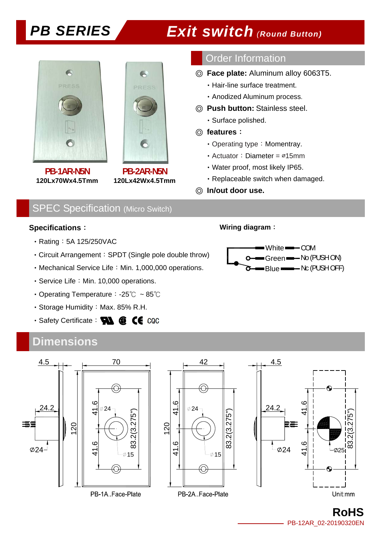



**PB-1AR-N5N 120Lx70Wx4.5Tmm**

**PB-2AR-N5N 120Lx42Wx4.5Tmm**

## Order Information

- ◎ **Face plate:** Aluminum alloy 6063T5.
	- ‧Hair-line surface treatment.
	- ‧Anodized Aluminum process.
- ◎ **Push button:** Stainless steel.
	- ‧Surface polished.

## ◎ **features**:

- Operating type: Momentray.
- ‧Actuator:Diameter = ∅15mm
- ‧Water proof, most likely IP65.
- ‧Replaceable switch when damaged.

### ◎ **In/out door use.**

## SPEC Specification (Micro Switch)

## **Specifications**:

- Rating: 5A 125/250VAC
- ‧Circuit Arrangement:SPDT (Single pole double throw)
- Mechanical Service Life: Min. 1,000,000 operations.
- Service Life: Min. 10,000 operations.
- ‧Operating Temperature:-25℃ ~ 85℃
- Storage Humidity: Max. 85% R.H.
- · Safety Certificate: **WA @ CE** CQC

## **Dimensions**

### **Wiring diagram**:





**RoHS**  PB-12AR\_02-20190320EN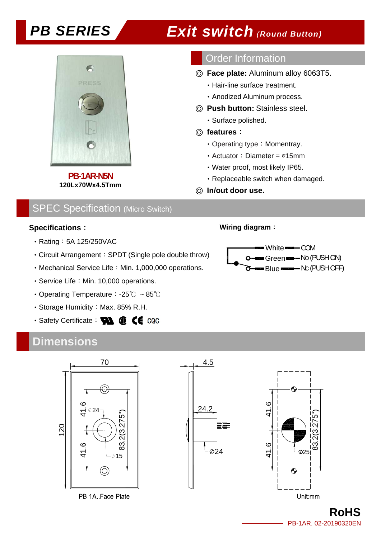

**PB-1AR-N5N 120Lx70Wx4.5Tmm**

## Order Information

- ◎ **Face plate:** Aluminum alloy 6063T5.
	- ‧Hair-line surface treatment.
	- ‧Anodized Aluminum process.
- ◎ **Push button:** Stainless steel.
	- ‧Surface polished.

## ◎ **features**:

- Operating type: Momentray.
- ‧Actuator:Diameter = ∅15mm
- ‧Water proof, most likely IP65.
- ‧Replaceable switch when damaged.
- ◎ **In/out door use.**

## SPEC Specification (Micro Switch)

## **Specifications**:

- Rating: 5A 125/250VAC
- ‧Circuit Arrangement:SPDT (Single pole double throw)
- Mechanical Service Life: Min. 1,000,000 operations.
- Service Life: Min. 10,000 operations.
- ‧Operating Temperature:-25℃ ~ 85℃
- Storage Humidity: Max. 85% R.H.
- · Safety Certificate: **WA @ CE** CQC

## **Dimensions**

## **Wiring diagram**:





**RoHS**  PB-1AR. 02-20190320EN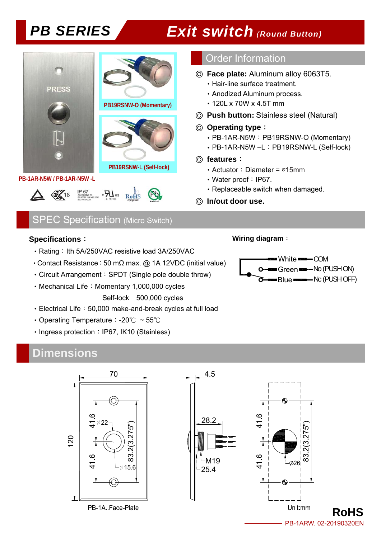

## Order Information

- ◎ **Face plate:** Aluminum alloy 6063T5.
	- ‧Hair-line surface treatment.
	- ‧Anodized Aluminum process.
	- ‧120L x 70W x 4.5T mm
- ◎ **Push button:** Stainless steel (Natural)

## ◎ **Operating type**:

- PB-1AR-N5W: PB19RSNW-O (Momentary)
- ‧PB-1AR-N5W –L:PB19RSNW-L (Self-lock)

## ◎ **features**:

- ‧Actuator:Diameter = ∅15mm
- Water proof: IP67.
- ‧Replaceable switch when damaged.

**Wiring diagram**:

◎ **In/out door use.** 

## SPEC Specification (Micro Switch)

## **Specifications**:

- Rating: Ith 5A/250VAC resistive load 3A/250VAC
- Contact Resistance: 50 mΩ max. @ 1A 12VDC (initial value)
- Circuit Arrangement: SPDT (Single pole double throw)
- Mechanical Life: Momentary 1,000,000 cycles Self-lock 500,000 cycles
- ‧Electrical Life:50,000 make-and-break cycles at full load
- ‧Operating Temperature:-20℃ ~ 55℃
- Ingress protection: IP67, IK10 (Stainless)

## **Dimensions**



White **COM** Green No (PUSH ON) Blue Nc (PUSH OFF)